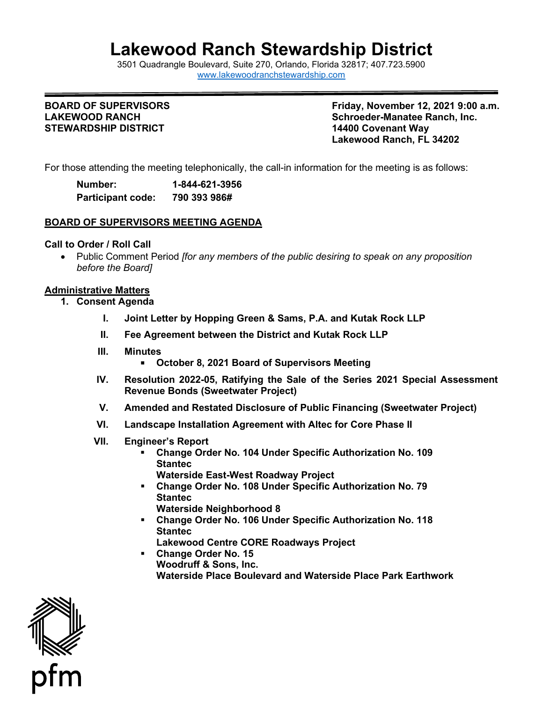# **Lakewood Ranch Stewardship District**

3501 Quadrangle B[oulevard, Suite 270, Orlando, Florida 32](http://www.lakewoodranchstewardship.com/)817; 407.723.5900 [www.lakewoodranchstewardship.com](http://www.lakewoodranchstewardship.com/) 

#### **BOARD OF SUPERVISORS LAKEWOOD RANCH STEWARDSHIP DISTRICT**

**Friday, November 12, 2021 9:00 a.m. Schroeder-Manatee Ranch, Inc. 14400 Covenant Wav Lakewood Ranch, FL 34202** 

For those attending the meeting telephonically, the call-in information for the meeting is as follows:

| Number:                  | 1-844-621-3956 |
|--------------------------|----------------|
| <b>Participant code:</b> | 790 393 986#   |

#### **BOARD OF SUPERVISORS MEETING AGENDA**

#### **Call to Order / Roll Call**

• Public Comment Period *[for any members of the public desiring to speak on any proposition before the Board]* 

#### **Administrative Matters**

- **1. Consent Agenda** 
	- **I. Joint Letter by Hopping Green & Sams, P.A. and Kutak Rock LLP**
	- **II. Fee Agreement between the District and Kutak Rock LLP**
	- **III. Minutes** 
		- **October 8, 2021 Board of Supervisors Meeting**
	- **Revenue Bonds (Sweetwater Project) IV. Resolution 2022-05, Ratifying the Sale of the Series 2021 Special Assessment**
	- **Revenue Bonds (Sweetwater Project) V. Amended and Restated Disclosure of Public Financing (Sweetwater Project)**
	- **VI. Landscape Installation Agreement with Altec for Core Phase II**
	- **VII. Engineer's Report** 
		- **Change Order No. 104 Under Specific Authorization No. 109 Stantec Waterside East-West Roadway Project**
		- **Change Order No. 108 Under Specific Authorization No. 79 Stantec** 
			- **Waterside Neighborhood 8**
		- **Change Order No. 106 Under Specific Authorization No. 118 Stantec** 
			- **Lakewood Centre CORE Roadways Project**
		- **Waterside Place Boulevard and Waterside Place Park Earthwork Change Order No. 15 Woodruff & Sons, Inc.**

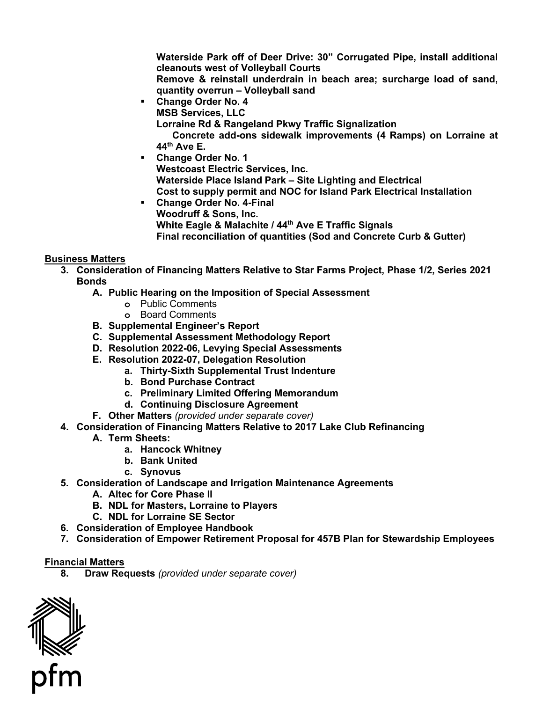**Waterside Park off of Deer Drive: 30" Corrugated Pipe, install additional cleanouts west of Volleyball Courts** 

 **Remove & reinstall underdrain in beach area; surcharge load of sand, quantity overrun – Volleyball sand** 

 **Change Order No. 4 MSB Services, LLC** 

 **Lorraine Rd & Rangeland Pkwy Traffic Signalization**

 **44th Ave E. Concrete add-ons sidewalk improvements (4 Ramps) on Lorraine at** 

- **Waterside Place Island Park Site Lighting and Electrical Change Order No. 1 Westcoast Electric Services, Inc. Cost to supply permit and NOC for Island Park Electrical Installation**
- **Change Order No. 4-Final Woodruff & Sons, Inc. White Eagle & Malachite / 44th Ave E Traffic Signals Final reconciliation of quantities (Sod and Concrete Curb & Gutter)**

## **Business Matters**

- **3. Consideration of Financing Matters Relative to Star Farms Project, Phase 1/2, Series 2021 Bonds** 
	- **A. Public Hearing on the Imposition of Special Assessment** 
		- **o** Public Comments
		- **o** Board Comments
	- **B. Supplemental Engineer's Report**
	- **C. Supplemental Assessment Methodology Report**
	- **D. Resolution 2022-06, Levying Special Assessments**
	- **E. Resolution 2022-07, Delegation Resolution** 
		- **a. Thirty-Sixth Supplemental Trust Indenture**
		- **b. Bond Purchase Contract**
		- **c. Preliminary Limited Offering Memorandum**
		- **d. Continuing Disclosure Agreement**
	- **F. Other Matters** *(provided under separate cover)*
- **4. Consideration of Financing Matters Relative to 2017 Lake Club Refinancing** 
	- **A. Term Sheets:** 
		- **a. Hancock Whitney**
		- **b. Bank United**
		- **c. Synovus**
- **5. Consideration of Landscape and Irrigation Maintenance Agreements**
	- **A. Altec for Core Phase II**
	- **B. NDL for Masters, Lorraine to Players**
	- **C. NDL for Lorraine SE Sector**
- **6. Consideration of Employee Handbook**
- **7. Consideration of Empower Retirement Proposal for 457B Plan for Stewardship Employees**

## **Financial Matters**

**8. Draw Requests** *(provided under separate cover)*